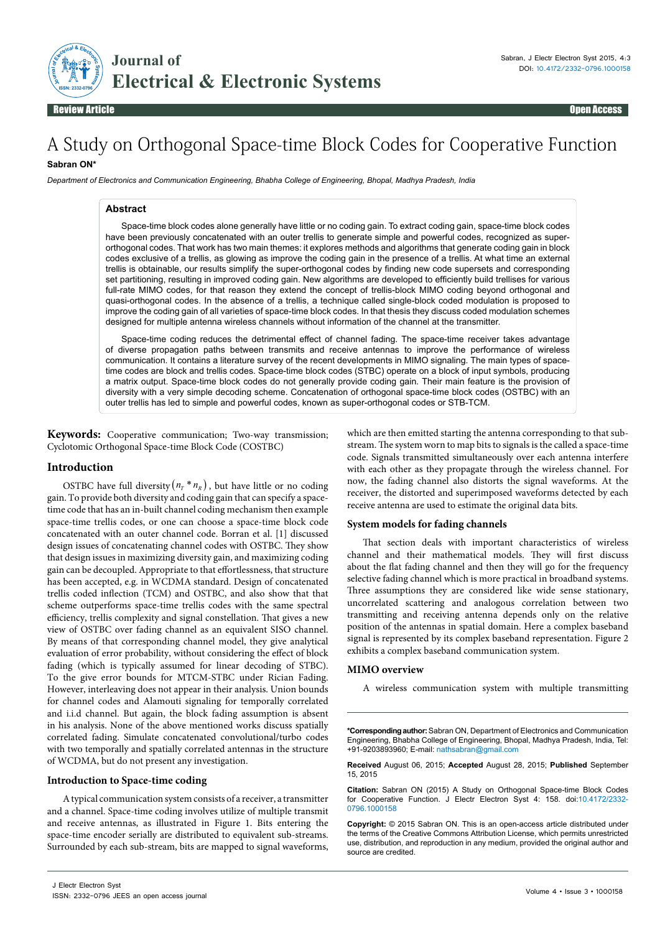

# A Study on Orthogonal Space-time Block Codes for Cooperative Function

## **Sabran ON\***

*Department of Electronics and Communication Engineering, Bhabha College of Engineering, Bhopal, Madhya Pradesh, India*

#### **Abstract**

Space-time block codes alone generally have little or no coding gain. To extract coding gain, space-time block codes have been previously concatenated with an outer trellis to generate simple and powerful codes, recognized as superorthogonal codes. That work has two main themes: it explores methods and algorithms that generate coding gain in block codes exclusive of a trellis, as glowing as improve the coding gain in the presence of a trellis. At what time an external trellis is obtainable, our results simplify the super-orthogonal codes by finding new code supersets and corresponding set partitioning, resulting in improved coding gain. New algorithms are developed to efficiently build trellises for various full-rate MIMO codes, for that reason they extend the concept of trellis-block MIMO coding beyond orthogonal and quasi-orthogonal codes. In the absence of a trellis, a technique called single-block coded modulation is proposed to improve the coding gain of all varieties of space-time block codes. In that thesis they discuss coded modulation schemes designed for multiple antenna wireless channels without information of the channel at the transmitter.

Space-time coding reduces the detrimental effect of channel fading. The space-time receiver takes advantage of diverse propagation paths between transmits and receive antennas to improve the performance of wireless communication. It contains a literature survey of the recent developments in MIMO signaling. The main types of spacetime codes are block and trellis codes. Space-time block codes (STBC) operate on a block of input symbols, producing a matrix output. Space-time block codes do not generally provide coding gain. Their main feature is the provision of diversity with a very simple decoding scheme. Concatenation of orthogonal space-time block codes (OSTBC) with an outer trellis has led to simple and powerful codes, known as super-orthogonal codes or STB-TCM.

**Keywords:** Cooperative communication; Two-way transmission; Cyclotomic Orthogonal Space-time Block Code (COSTBC)

# **Introduction**

OSTBC have full diversity  $(n_T * n_R)$ , but have little or no coding gain. To provide both diversity and coding gain that can specify a spacetime code that has an in-built channel coding mechanism then example space-time trellis codes, or one can choose a space-time block code concatenated with an outer channel code. Borran et al. [1] discussed design issues of concatenating channel codes with OSTBC. They show that design issues in maximizing diversity gain, and maximizing coding gain can be decoupled. Appropriate to that effortlessness, that structure has been accepted, e.g. in WCDMA standard. Design of concatenated trellis coded inflection (TCM) and OSTBC, and also show that that scheme outperforms space-time trellis codes with the same spectral efficiency, trellis complexity and signal constellation. That gives a new view of OSTBC over fading channel as an equivalent SISO channel. By means of that corresponding channel model, they give analytical evaluation of error probability, without considering the effect of block fading (which is typically assumed for linear decoding of STBC). To the give error bounds for MTCM-STBC under Rician Fading. However, interleaving does not appear in their analysis. Union bounds for channel codes and Alamouti signaling for temporally correlated and i.i.d channel. But again, the block fading assumption is absent in his analysis. None of the above mentioned works discuss spatially correlated fading. Simulate concatenated convolutional/turbo codes with two temporally and spatially correlated antennas in the structure of WCDMA, but do not present any investigation.

## **Introduction to Space-time coding**

A typical communication system consists of a receiver, a transmitter and a channel. Space-time coding involves utilize of multiple transmit and receive antennas, as illustrated in Figure 1. Bits entering the space-time encoder serially are distributed to equivalent sub-streams. Surrounded by each sub-stream, bits are mapped to signal waveforms,

which are then emitted starting the antenna corresponding to that substream. The system worn to map bits to signals is the called a space-time code. Signals transmitted simultaneously over each antenna interfere with each other as they propagate through the wireless channel. For now, the fading channel also distorts the signal waveforms. At the receiver, the distorted and superimposed waveforms detected by each receive antenna are used to estimate the original data bits.

#### **System models for fading channels**

That section deals with important characteristics of wireless channel and their mathematical models. They will first discuss about the flat fading channel and then they will go for the frequency selective fading channel which is more practical in broadband systems. Three assumptions they are considered like wide sense stationary, uncorrelated scattering and analogous correlation between two transmitting and receiving antenna depends only on the relative position of the antennas in spatial domain. Here a complex baseband signal is represented by its complex baseband representation. Figure 2 exhibits a complex baseband communication system.

#### **MIMO overview**

A wireless communication system with multiple transmitting

**\*Corresponding author:** Sabran ON, Department of Electronics and Communication Engineering, Bhabha College of Engineering, Bhopal, Madhya Pradesh, India, Tel: +91-9203893960; E-mail: nathsabran@gmail.com

**Received** August 06, 2015; **Accepted** August 28, 2015; **Published** September 15, 2015

**Citation:** Sabran ON (2015) A Study on Orthogonal Space-time Block Codes for Cooperative Function. J Electr Electron Syst 4: 158. doi:10.4172/2332- 0796.1000158

**Copyright:** © 2015 Sabran ON. This is an open-access article distributed under the terms of the Creative Commons Attribution License, which permits unrestricted use, distribution, and reproduction in any medium, provided the original author and source are credited.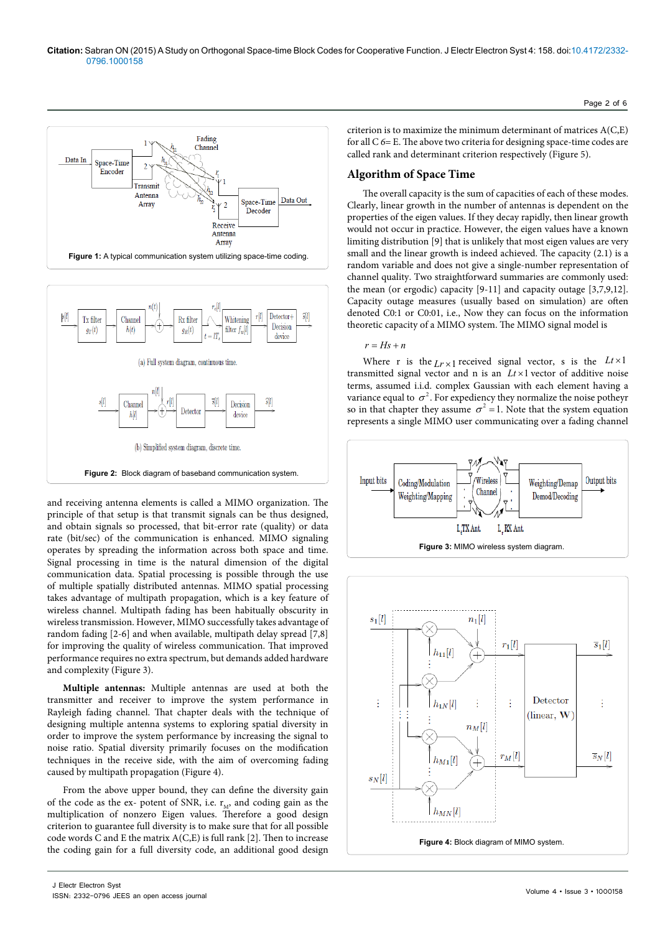

and receiving antenna elements is called a MIMO organization. The principle of that setup is that transmit signals can be thus designed, and obtain signals so processed, that bit-error rate (quality) or data rate (bit/sec) of the communication is enhanced. MIMO signaling operates by spreading the information across both space and time. Signal processing in time is the natural dimension of the digital communication data. Spatial processing is possible through the use of multiple spatially distributed antennas. MIMO spatial processing takes advantage of multipath propagation, which is a key feature of wireless channel. Multipath fading has been habitually obscurity in wireless transmission. However, MIMO successfully takes advantage of random fading [2-6] and when available, multipath delay spread [7,8] for improving the quality of wireless communication. That improved performance requires no extra spectrum, but demands added hardware and complexity (Figure 3).

**Multiple antennas:** Multiple antennas are used at both the transmitter and receiver to improve the system performance in Rayleigh fading channel. That chapter deals with the technique of designing multiple antenna systems to exploring spatial diversity in order to improve the system performance by increasing the signal to noise ratio. Spatial diversity primarily focuses on the modification techniques in the receive side, with the aim of overcoming fading caused by multipath propagation (Figure 4).

From the above upper bound, they can define the diversity gain of the code as the ex- potent of SNR, i.e.  $\mathbf{r}_\text{\tiny{M}}$  and coding gain as the multiplication of nonzero Eigen values. Therefore a good design criterion to guarantee full diversity is to make sure that for all possible code words C and E the matrix A(C,E) is full rank [2]. Then to increase the coding gain for a full diversity code, an additional good design

criterion is to maximize the minimum determinant of matrices A(C,E) for all C *6*= E. The above two criteria for designing space-time codes are called rank and determinant criterion respectively (Figure 5).

# **Algorithm of Space Time**

The overall capacity is the sum of capacities of each of these modes. Clearly, linear growth in the number of antennas is dependent on the properties of the eigen values. If they decay rapidly, then linear growth would not occur in practice. However, the eigen values have a known limiting distribution [9] that is unlikely that most eigen values are very small and the linear growth is indeed achieved. The capacity (2.1) is a random variable and does not give a single-number representation of channel quality. Two straightforward summaries are commonly used: the mean (or ergodic) capacity [9-11] and capacity outage [3,7,9,12]. Capacity outage measures (usually based on simulation) are often denoted C0:1 or C0:01, i.e., Now they can focus on the information theoretic capacity of a MIMO system. The MIMO signal model is

 $r = Hs + n$ 

Where r is the  $L_r \times 1$  received signal vector, s is the  $L_t \times 1$ transmitted signal vector and n is an *Lt* ×1 vector of additive noise terms, assumed i.i.d. complex Gaussian with each element having a variance equal to  $\sigma^2$ . For expediency they normalize the noise potheyr so in that chapter they assume  $\sigma^2 = 1$ . Note that the system equation represents a single MIMO user communicating over a fading channel



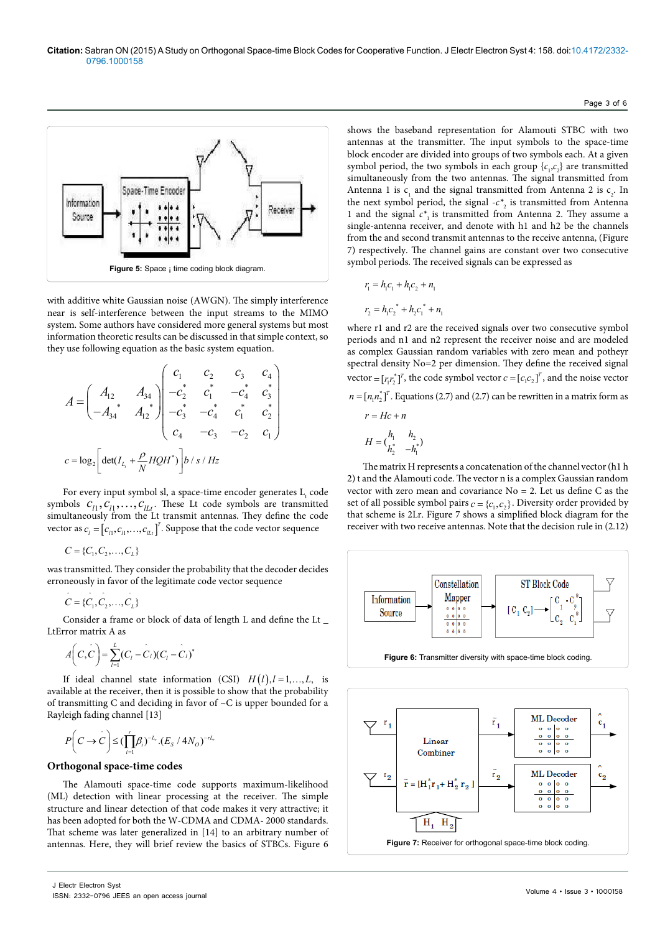

with additive white Gaussian noise (AWGN). The simply interference near is self-interference between the input streams to the MIMO system. Some authors have considered more general systems but most information theoretic results can be discussed in that simple context, so they use following equation as the basic system equation.

$$
A = \begin{pmatrix} A_{12} & A_{34} \\ -A_{34} & A_{12} \end{pmatrix} \begin{pmatrix} c_1 & c_2 & c_3 & c_4 \\ -c_2^* & c_1^* & -c_4^* & c_3^* \\ -c_3^* & -c_4^* & c_1^* & c_2^* \\ c_4 & -c_3 & -c_2 & c_1 \end{pmatrix}
$$
  

$$
c = \log_2 \left[ \det(I_{L_i} + \frac{\rho}{N} H Q H^*) \right] b / s / Hz
$$

For every input symbol sl, a space-time encoder generates  $\text{L}_\text{t}$  code symbols  $c_{l_1}, c_{l_1}, \ldots, c_{l_L t}$ . These Lt code symbols are transmitted simultaneously from the Lt transmit antennas. They define the code vector as  $c_i = [c_{i1}, c_{i1},..., c_{iLt}]^T$ . Suppose that the code vector sequence

$$
C = \{C_1, C_2, \ldots, C_L\}
$$

was transmitted. They consider the probability that the decoder decides erroneously in favor of the legitimate code vector sequence

$$
C = \{C_1, C_2, \dots, C_L\}
$$

Consider a frame or block of data of length L and define the Lt \_ LtError matrix A as

$$
A\left(C, C\right) = \sum_{l=1}^{L} (C_l - C_l)(C_l - C_l)^*
$$

If ideal channel state information (CSI)  $H(l)$ ,  $l = 1, ..., L$ , is available at the receiver, then it is possible to show that the probability of transmitting C and deciding in favor of  $\sim$ C is upper bounded for a Rayleigh fading channel [13]

$$
P\left(C \to \mathcal{C}\right) \leq \left(\prod_{i=1}^r \beta_i\right)^{-L_r} \left(E_s / 4N_o\right)^{-rL_r}
$$

### **Orthogonal space-time codes**

The Alamouti space-time code supports maximum-likelihood (ML) detection with linear processing at the receiver. The simple structure and linear detection of that code makes it very attractive; it has been adopted for both the W-CDMA and CDMA- 2000 standards. That scheme was later generalized in [14] to an arbitrary number of antennas. Here, they will brief review the basics of STBCs. Figure 6

J Electr Electron Syst ISSN: 2332-0796 JEES an open access journal

shows the baseband representation for Alamouti STBC with two antennas at the transmitter. The input symbols to the space-time block encoder are divided into groups of two symbols each. At a given symbol period, the two symbols in each group  $\{c_1, c_2\}$  are transmitted simultaneously from the two antennas. The signal transmitted from Antenna 1 is  $c_1$  and the signal transmitted from Antenna 2 is  $c_2$ . In the next symbol period, the signal  $-c^*$ <sub>2</sub> is transmitted from Antenna 1 and the signal  $c^*$ , is transmitted from Antenna 2. They assume a single-antenna receiver, and denote with h1 and h2 be the channels from the and second transmit antennas to the receive antenna, (Figure 7) respectively. The channel gains are constant over two consecutive symbol periods. The received signals can be expressed as

$$
r_1 = h_1 c_1 + h_1 c_2 + n_1
$$

$$
r_2 = h_1 {c_2}^* + h_2 {c_1}^* + n_1
$$

where r1 and r2 are the received signals over two consecutive symbol periods and n1 and n2 represent the receiver noise and are modeled as complex Gaussian random variables with zero mean and potheyr spectral density No=2 per dimension. They define the received signal vector =  $[r_I r_2^*]^T$ , the code symbol vector  $c = [c_1 c_2]^T$ , and the noise vector  $n = [n_1 n_2^*]^T$ . Equations (2.7) and (2.7) can be rewritten in a matrix form as  $r = Hc + n$ 

$$
H = \begin{pmatrix} h_1 & h_2 \\ h_2^* & -h_1^* \end{pmatrix}
$$

The matrix H represents a concatenation of the channel vector (h1 h 2) t and the Alamouti code. The vector n is a complex Gaussian random vector with zero mean and covariance No = 2. Let us define C as the set of all possible symbol pairs  $c = \{c_1, c_2\}$ . Diversity order provided by that scheme is 2Lr. Figure 7 shows a simplified block diagram for the receiver with two receive antennas. Note that the decision rule in (2.12)



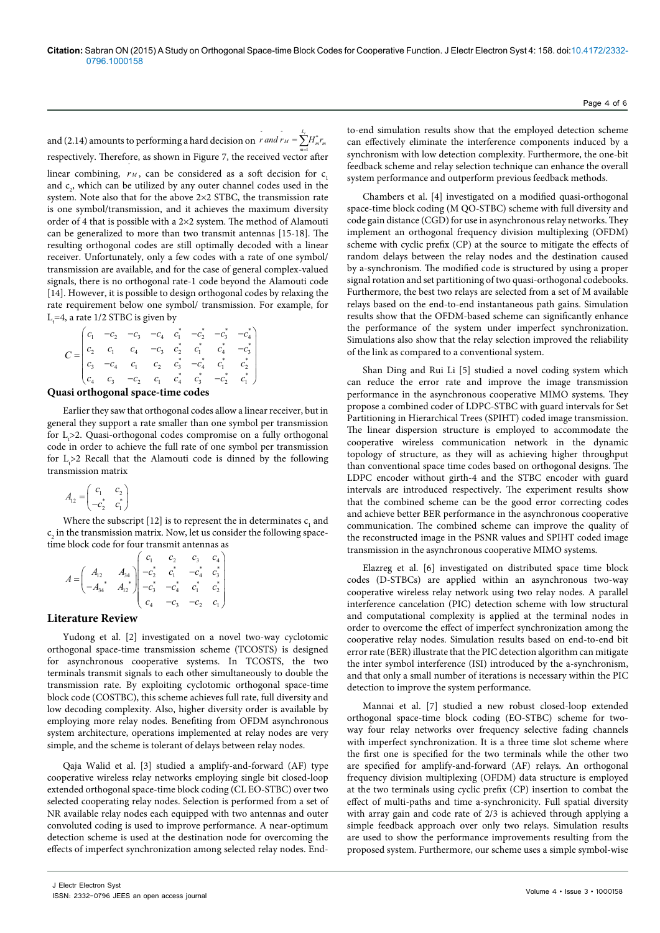and (2.14) amounts to performing a hard decision on  $\overline{r}$  and  $\overline{r_M} = \sum_{m=-N}^{L} H^*_{m} r_m$ =1 *m* respectively. Therefore, as shown in Figure 7, the received vector after

linear combining,  $r_M$ , can be considered as a soft decision for  $c_1$ and  $c_2$ , which can be utilized by any outer channel codes used in the system. Note also that for the above 2×2 STBC, the transmission rate is one symbol/transmission, and it achieves the maximum diversity order of 4 that is possible with a 2×2 system. The method of Alamouti can be generalized to more than two transmit antennas [15-18]. The resulting orthogonal codes are still optimally decoded with a linear receiver. Unfortunately, only a few codes with a rate of one symbol/ transmission are available, and for the case of general complex-valued signals, there is no orthogonal rate-1 code beyond the Alamouti code [14]. However, it is possible to design orthogonal codes by relaxing the rate requirement below one symbol/ transmission. For example, for  $L<sub>t</sub>=4$ , a rate 1/2 STBC is given by

$$
C = \begin{pmatrix} c_1 & -c_2 & -c_3 & -c_4 & c_1^* & -c_2^* & -c_3^* & -c_4^* \\ c_2 & c_1 & c_4 & -c_3 & c_2^* & c_1^* & c_4^* & -c_3^* \\ c_3 & -c_4 & c_1 & c_2 & c_3^* & -c_4^* & c_1^* & c_2^* \\ c_4 & c_3 & -c_2 & c_1 & c_4^* & c_3^* & -c_2^* & c_1^* \end{pmatrix}
$$

## **Quasi orthogonal space-time codes**

Earlier they saw that orthogonal codes allow a linear receiver, but in general they support a rate smaller than one symbol per transmission for  $L_t$  >2. Quasi-orthogonal codes compromise on a fully orthogonal code in order to achieve the full rate of one symbol per transmission for  $L_t$  >2 Recall that the Alamouti code is dinned by the following transmission matrix

$$
A_{12} = \begin{pmatrix} c_1 & c_2 \\ -c_2^* & c_1^* \end{pmatrix}
$$

Where the subscript [12] is to represent the in determinates  $c_1$  and  $\mathsf{c}_\mathsf{2}$  in the transmission matrix. Now, let us consider the following spacetime block code for four transmit antennas as

$$
A = \begin{pmatrix} A_{12} & A_{34} \\ -A_{34} & A_{12} \end{pmatrix} \begin{pmatrix} c_1 & c_2 & c_3 & c_4 \\ -c_2^* & c_1^* & -c_4^* & c_3^* \\ -c_3^* & -c_4^* & c_1^* & c_2^* \\ c_4 & -c_3 & -c_2 & c_1 \end{pmatrix}
$$

# **Literature Review**

Yudong et al. [2] investigated on a novel two-way cyclotomic orthogonal space-time transmission scheme (TCOSTS) is designed for asynchronous cooperative systems. In TCOSTS, the two terminals transmit signals to each other simultaneously to double the transmission rate. By exploiting cyclotomic orthogonal space-time block code (COSTBC), this scheme achieves full rate, full diversity and low decoding complexity. Also, higher diversity order is available by employing more relay nodes. Benefiting from OFDM asynchronous system architecture, operations implemented at relay nodes are very simple, and the scheme is tolerant of delays between relay nodes.

Qaja Walid et al. [3] studied a amplify-and-forward (AF) type cooperative wireless relay networks employing single bit closed-loop extended orthogonal space-time block coding (CL EO-STBC) over two selected cooperating relay nodes. Selection is performed from a set of NR available relay nodes each equipped with two antennas and outer convoluted coding is used to improve performance. A near-optimum detection scheme is used at the destination node for overcoming the effects of imperfect synchronization among selected relay nodes. Endto-end simulation results show that the employed detection scheme can effectively eliminate the interference components induced by a synchronism with low detection complexity. Furthermore, the one-bit feedback scheme and relay selection technique can enhance the overall system performance and outperform previous feedback methods.

Chambers et al. [4] investigated on a modified quasi-orthogonal space-time block coding (M QO-STBC) scheme with full diversity and code gain distance (CGD) for use in asynchronous relay networks. They implement an orthogonal frequency division multiplexing (OFDM) scheme with cyclic prefix (CP) at the source to mitigate the effects of random delays between the relay nodes and the destination caused by a-synchronism. The modified code is structured by using a proper signal rotation and set partitioning of two quasi-orthogonal codebooks. Furthermore, the best two relays are selected from a set of M available relays based on the end-to-end instantaneous path gains. Simulation results show that the OFDM-based scheme can significantly enhance the performance of the system under imperfect synchronization. Simulations also show that the relay selection improved the reliability of the link as compared to a conventional system.

Shan Ding and Rui Li [5] studied a novel coding system which can reduce the error rate and improve the image transmission performance in the asynchronous cooperative MIMO systems. They propose a combined coder of LDPC-STBC with guard intervals for Set Partitioning in Hierarchical Trees (SPIHT) coded image transmission. The linear dispersion structure is employed to accommodate the cooperative wireless communication network in the dynamic topology of structure, as they will as achieving higher throughput than conventional space time codes based on orthogonal designs. The LDPC encoder without girth-4 and the STBC encoder with guard intervals are introduced respectively. The experiment results show that the combined scheme can be the good error correcting codes and achieve better BER performance in the asynchronous cooperative communication. The combined scheme can improve the quality of the reconstructed image in the PSNR values and SPIHT coded image transmission in the asynchronous cooperative MIMO systems.

Elazreg et al. [6] investigated on distributed space time block codes (D-STBCs) are applied within an asynchronous two-way cooperative wireless relay network using two relay nodes. A parallel interference cancelation (PIC) detection scheme with low structural and computational complexity is applied at the terminal nodes in order to overcome the effect of imperfect synchronization among the cooperative relay nodes. Simulation results based on end-to-end bit error rate (BER) illustrate that the PIC detection algorithm can mitigate the inter symbol interference (ISI) introduced by the a-synchronism, and that only a small number of iterations is necessary within the PIC detection to improve the system performance.

Mannai et al. [7] studied a new robust closed-loop extended orthogonal space-time block coding (EO-STBC) scheme for twoway four relay networks over frequency selective fading channels with imperfect synchronization. It is a three time slot scheme where the first one is specified for the two terminals while the other two are specified for amplify-and-forward (AF) relays. An orthogonal frequency division multiplexing (OFDM) data structure is employed at the two terminals using cyclic prefix (CP) insertion to combat the effect of multi-paths and time a-synchronicity. Full spatial diversity with array gain and code rate of 2/3 is achieved through applying a simple feedback approach over only two relays. Simulation results are used to show the performance improvements resulting from the proposed system. Furthermore, our scheme uses a simple symbol-wise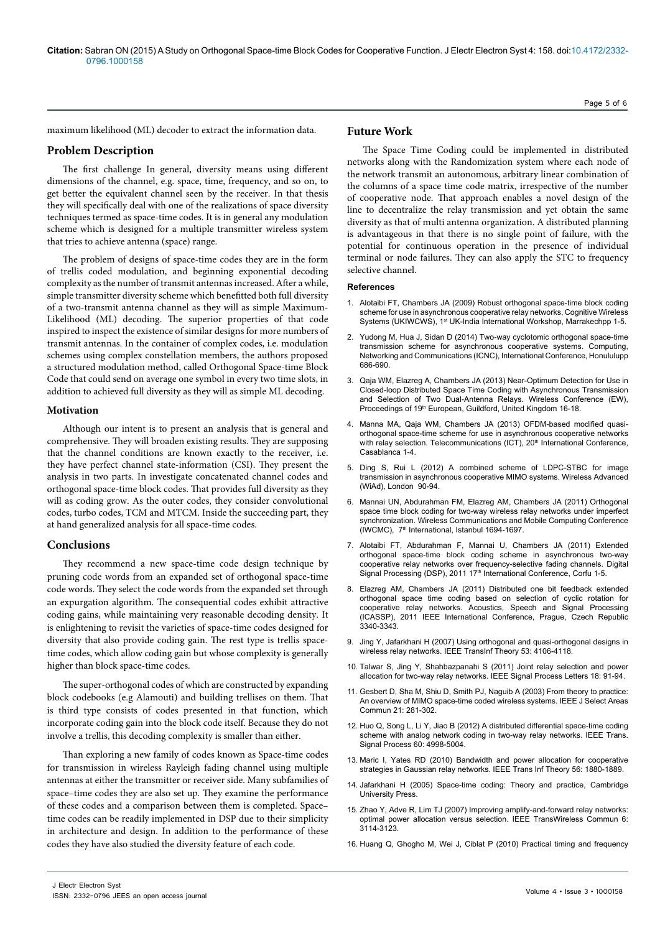maximum likelihood (ML) decoder to extract the information data.

#### **Problem Description**

The first challenge In general, diversity means using different dimensions of the channel, e.g. space, time, frequency, and so on, to get better the equivalent channel seen by the receiver. In that thesis they will specifically deal with one of the realizations of space diversity techniques termed as space-time codes. It is in general any modulation scheme which is designed for a multiple transmitter wireless system that tries to achieve antenna (space) range.

The problem of designs of space-time codes they are in the form of trellis coded modulation, and beginning exponential decoding complexity as the number of transmit antennas increased. After a while, simple transmitter diversity scheme which benefitted both full diversity of a two-transmit antenna channel as they will as simple Maximum-Likelihood (ML) decoding. The superior properties of that code inspired to inspect the existence of similar designs for more numbers of transmit antennas. In the container of complex codes, i.e. modulation schemes using complex constellation members, the authors proposed a structured modulation method, called Orthogonal Space-time Block Code that could send on average one symbol in every two time slots, in addition to achieved full diversity as they will as simple ML decoding.

#### **Motivation**

Although our intent is to present an analysis that is general and comprehensive. They will broaden existing results. They are supposing that the channel conditions are known exactly to the receiver, i.e. they have perfect channel state-information (CSI). They present the analysis in two parts. In investigate concatenated channel codes and orthogonal space-time block codes. That provides full diversity as they will as coding grow. As the outer codes, they consider convolutional codes, turbo codes, TCM and MTCM. Inside the succeeding part, they at hand generalized analysis for all space-time codes.

#### **Conclusions**

They recommend a new space-time code design technique by pruning code words from an expanded set of orthogonal space-time code words. They select the code words from the expanded set through an expurgation algorithm. The consequential codes exhibit attractive coding gains, while maintaining very reasonable decoding density. It is enlightening to revisit the varieties of space-time codes designed for diversity that also provide coding gain. The rest type is trellis spacetime codes, which allow coding gain but whose complexity is generally higher than block space-time codes.

The super-orthogonal codes of which are constructed by expanding block codebooks (e.g Alamouti) and building trellises on them. That is third type consists of codes presented in that function, which incorporate coding gain into the block code itself. Because they do not involve a trellis, this decoding complexity is smaller than either.

Than exploring a new family of codes known as Space-time codes for transmission in wireless Rayleigh fading channel using multiple antennas at either the transmitter or receiver side. Many subfamilies of space–time codes they are also set up. They examine the performance of these codes and a comparison between them is completed. Space– time codes can be readily implemented in DSP due to their simplicity in architecture and design. In addition to the performance of these codes they have also studied the diversity feature of each code.

# **Future Work**

The Space Time Coding could be implemented in distributed networks along with the Randomization system where each node of the network transmit an autonomous, arbitrary linear combination of the columns of a space time code matrix, irrespective of the number of cooperative node. That approach enables a novel design of the line to decentralize the relay transmission and yet obtain the same diversity as that of multi antenna organization. A distributed planning is advantageous in that there is no single point of failure, with the potential for continuous operation in the presence of individual terminal or node failures. They can also apply the STC to frequency selective channel.

## **References**

- 1. [Alotaibi FT, Chambers JA \(2009\) Robust orthogonal space-time block coding](http://ieeexplore.ieee.org/xpl/articleDetails.jsp?reload=true&arnumber=5671082)  [scheme for use in asynchronous cooperative relay networks, Cognitive Wireless](http://ieeexplore.ieee.org/xpl/articleDetails.jsp?reload=true&arnumber=5671082)  Systems (UKIWCWS), 1<sup>st</sup> UK-India International Workshop, Marrakechpp 1-5.
- 2. [Yudong M, Hua J, Sidan D \(2014\) Two-way cyclotomic orthogonal space-time](http://ieeexplore.ieee.org/xpl/login.jsp?tp=&arnumber=6785419&url=http%3A%2F%2Fieeexplore.ieee.org%2Fxpls%2Fabs_all.jsp%3Farnumber%3D6785419)  [transmission scheme for asynchronous cooperative systems. Computing,](http://ieeexplore.ieee.org/xpl/login.jsp?tp=&arnumber=6785419&url=http%3A%2F%2Fieeexplore.ieee.org%2Fxpls%2Fabs_all.jsp%3Farnumber%3D6785419)  [Networking and Communications \(ICNC\), International Conference, Honululupp](http://ieeexplore.ieee.org/xpl/login.jsp?tp=&arnumber=6785419&url=http%3A%2F%2Fieeexplore.ieee.org%2Fxpls%2Fabs_all.jsp%3Farnumber%3D6785419)  [686-690](http://ieeexplore.ieee.org/xpl/login.jsp?tp=&arnumber=6785419&url=http%3A%2F%2Fieeexplore.ieee.org%2Fxpls%2Fabs_all.jsp%3Farnumber%3D6785419).
- 3. [Qaja WM, Elazreg A, Chambers JA \(2013\) Near-Optimum Detection for Use in](http://ieeexplore.ieee.org/xpl/login.jsp?tp=&arnumber=6582800&url=http%3A%2F%2Fieeexplore.ieee.org%2Fxpls%2Fabs_all.jsp%3Farnumber%3D6582800)  [Closed-loop Distributed Space Time Coding with Asynchronous Transmission](http://ieeexplore.ieee.org/xpl/login.jsp?tp=&arnumber=6582800&url=http%3A%2F%2Fieeexplore.ieee.org%2Fxpls%2Fabs_all.jsp%3Farnumber%3D6582800)  [and Selection of Two Dual-Antenna Relays. Wireless Conference \(EW\),](http://ieeexplore.ieee.org/xpl/login.jsp?tp=&arnumber=6582800&url=http%3A%2F%2Fieeexplore.ieee.org%2Fxpls%2Fabs_all.jsp%3Farnumber%3D6582800)  Proceedings of 19<sup>th</sup> European, Guildford, United Kingdom 16-18.
- 4. [Manna MA, Qaja WM, Chambers JA \(2013\) OFDM-based modified quasi](http://ieeexplore.ieee.org/xpl/articleDetails.jsp?arnumber=6632072)[orthogonal space-time scheme for use in asynchronous cooperative networks](http://ieeexplore.ieee.org/xpl/articleDetails.jsp?arnumber=6632072)  with relay selection. Telecommunications (ICT), 20<sup>th</sup> International Conference, [Casablanca 1-4.](http://ieeexplore.ieee.org/xpl/articleDetails.jsp?arnumber=6632072)
- 5. [Ding S, Rui L \(2012\) A combined scheme of LDPC-STBC for image](http://ieeexplore.ieee.org/xpl/login.jsp?tp=&arnumber=6296575&url=http%3A%2F%2Fieeexplore.ieee.org%2Fiel5%2F6287113%2F6296540%2F06296575.pdf%3Farnumber%3D6296575)  [transmission in asynchronous cooperative MIMO systems. Wireless Advanced](http://ieeexplore.ieee.org/xpl/login.jsp?tp=&arnumber=6296575&url=http%3A%2F%2Fieeexplore.ieee.org%2Fiel5%2F6287113%2F6296540%2F06296575.pdf%3Farnumber%3D6296575)  [\(WiAd\), London 90-94.](http://ieeexplore.ieee.org/xpl/login.jsp?tp=&arnumber=6296575&url=http%3A%2F%2Fieeexplore.ieee.org%2Fiel5%2F6287113%2F6296540%2F06296575.pdf%3Farnumber%3D6296575)
- 6. [Mannai UN, Abdurahman FM, Elazreg AM, Chambers JA \(2011\) Orthogonal](http://ieeexplore.ieee.org/xpl/login.jsp?tp=&arnumber=5982790&url=http%3A%2F%2Fieeexplore.ieee.org%2Fxpls%2Fabs_all.jsp%3Farnumber%3D5982790)  [space time block coding for two-way wireless relay networks under imperfect](http://ieeexplore.ieee.org/xpl/login.jsp?tp=&arnumber=5982790&url=http%3A%2F%2Fieeexplore.ieee.org%2Fxpls%2Fabs_all.jsp%3Farnumber%3D5982790)  [synchronization. Wireless Communications and Mobile Computing Conference](http://ieeexplore.ieee.org/xpl/login.jsp?tp=&arnumber=5982790&url=http%3A%2F%2Fieeexplore.ieee.org%2Fxpls%2Fabs_all.jsp%3Farnumber%3D5982790)  (IWCMC), 7<sup>th</sup> International, Istanbul 1694-1697.
- 7. [Alotaibi FT, Abdurahman F, Mannai U, Chambers JA \(2011\) Extended](http://ieeexplore.ieee.org/xpl/login.jsp?tp=&arnumber=6004933&url=http%3A%2F%2Fieeexplore.ieee.org%2Fxpls%2Fabs_all.jsp%3Farnumber%3D6004933)  [orthogonal space-time block coding scheme in asynchronous two-way](http://ieeexplore.ieee.org/xpl/login.jsp?tp=&arnumber=6004933&url=http%3A%2F%2Fieeexplore.ieee.org%2Fxpls%2Fabs_all.jsp%3Farnumber%3D6004933)  [cooperative relay networks over frequency-selective fading channels. Digital](http://ieeexplore.ieee.org/xpl/login.jsp?tp=&arnumber=6004933&url=http%3A%2F%2Fieeexplore.ieee.org%2Fxpls%2Fabs_all.jsp%3Farnumber%3D6004933)  Signal Processing (DSP), 2011 17<sup>th</sup> International Conference, Corfu 1-5.
- 8. [Elazreg AM, Chambers JA \(2011\) Distributed one bit feedback extended](http://ieeexplore.ieee.org/xpl/login.jsp?tp=&arnumber=5947100&url=http%3A%2F%2Fieeexplore.ieee.org%2Fxpls%2Fabs_all.jsp%3Farnumber%3D5947100)  [orthogonal space time coding based on selection of cyclic rotation for](http://ieeexplore.ieee.org/xpl/login.jsp?tp=&arnumber=5947100&url=http%3A%2F%2Fieeexplore.ieee.org%2Fxpls%2Fabs_all.jsp%3Farnumber%3D5947100)  [cooperative relay networks. Acoustics, Speech and Signal Processing](http://ieeexplore.ieee.org/xpl/login.jsp?tp=&arnumber=5947100&url=http%3A%2F%2Fieeexplore.ieee.org%2Fxpls%2Fabs_all.jsp%3Farnumber%3D5947100)  [\(ICASSP\), 2011 IEEE International Conference, Prague, Czech Republic](http://ieeexplore.ieee.org/xpl/login.jsp?tp=&arnumber=5947100&url=http%3A%2F%2Fieeexplore.ieee.org%2Fxpls%2Fabs_all.jsp%3Farnumber%3D5947100)  [3340-3343](http://ieeexplore.ieee.org/xpl/login.jsp?tp=&arnumber=5947100&url=http%3A%2F%2Fieeexplore.ieee.org%2Fxpls%2Fabs_all.jsp%3Farnumber%3D5947100).
- 9. [Jing Y, Jafarkhani H \(2007\) Using orthogonal and quasi-orthogonal designs in](http://ieeexplore.ieee.org/xpl/login.jsp?tp=&arnumber=4373409&url=http%3A%2F%2Fieeexplore.ieee.org%2Fiel5%2F18%2F4373387%2F04373409.pdf%3Farnumber%3D4373409)  [wireless relay networks. IEEE TransInf Theory 53: 4106-4118](http://ieeexplore.ieee.org/xpl/login.jsp?tp=&arnumber=4373409&url=http%3A%2F%2Fieeexplore.ieee.org%2Fiel5%2F18%2F4373387%2F04373409.pdf%3Farnumber%3D4373409).
- 10. [Talwar S, Jing Y, Shahbazpanahi S \(2011\) Joint relay selection and power](http://ieeexplore.ieee.org/xpl/login.jsp?tp=&arnumber=5657242&url=http%3A%2F%2Fieeexplore.ieee.org%2Fiel5%2F97%2F5672529%2F05657242.pdf%3Farnumber%3D5657242)  [allocation for two-way relay networks. IEEE Signal Process Letters 18: 91-94](http://ieeexplore.ieee.org/xpl/login.jsp?tp=&arnumber=5657242&url=http%3A%2F%2Fieeexplore.ieee.org%2Fiel5%2F97%2F5672529%2F05657242.pdf%3Farnumber%3D5657242).
- 11. [Gesbert D, Sha M, Shiu D, Smith PJ, Naguib A \(2003\) From theory to practice:](http://ieeexplore.ieee.org/xpl/login.jsp?tp=&arnumber=1192168&url=http%3A%2F%2Fieeexplore.ieee.org%2Fiel5%2F49%2F26726%2F01192168)  [An overview of MIMO space-time coded wireless systems. IEEE J Select Areas](http://ieeexplore.ieee.org/xpl/login.jsp?tp=&arnumber=1192168&url=http%3A%2F%2Fieeexplore.ieee.org%2Fiel5%2F49%2F26726%2F01192168)  [Commun 21: 281-302](http://ieeexplore.ieee.org/xpl/login.jsp?tp=&arnumber=1192168&url=http%3A%2F%2Fieeexplore.ieee.org%2Fiel5%2F49%2F26726%2F01192168).
- 12. [Huo Q, Song L, Li Y, Jiao B \(2012\) A distributed differential space-time coding](http://ieeexplore.ieee.org/xpl/login.jsp?tp=&arnumber=6212406&url=http%3A%2F%2Fieeexplore.ieee.org%2Fiel5%2F78%2F4359509%2F06212406.pdf%3Farnumber%3D6212406)  [scheme with analog network coding in two-way relay networks. IEEE Trans.](http://ieeexplore.ieee.org/xpl/login.jsp?tp=&arnumber=6212406&url=http%3A%2F%2Fieeexplore.ieee.org%2Fiel5%2F78%2F4359509%2F06212406.pdf%3Farnumber%3D6212406)  [Signal Process 60: 4998-5004](http://ieeexplore.ieee.org/xpl/login.jsp?tp=&arnumber=6212406&url=http%3A%2F%2Fieeexplore.ieee.org%2Fiel5%2F78%2F4359509%2F06212406.pdf%3Farnumber%3D6212406).
- 13. [Maric I, Yates RD \(2010\) Bandwidth and power allocation for cooperative](http://ieeexplore.ieee.org/xpl/login.jsp?tp=&arnumber=5437440&url=http%3A%2F%2Fieeexplore.ieee.org%2Fxpls%2Fabs_all.jsp%3Farnumber%3D5437440)  [strategies in Gaussian relay networks. IEEE Trans Inf Theory 56: 1880-1889](http://ieeexplore.ieee.org/xpl/login.jsp?tp=&arnumber=5437440&url=http%3A%2F%2Fieeexplore.ieee.org%2Fxpls%2Fabs_all.jsp%3Farnumber%3D5437440).
- 14. [Jafarkhani H \(2005\) Space-time coding: Theory and practice, Cambridge](http://www.ece.uci.edu/~hamidj/book.html)  [University Press](http://www.ece.uci.edu/~hamidj/book.html).
- 15. [Zhao Y, Adve R, Lim TJ \(2007\) Improving amplify-and-forward relay networks:](http://ieeexplore.ieee.org/xpl/login.jsp?tp=&arnumber=4290052&url=http%3A%2F%2Fieeexplore.ieee.org%2Fiel5%2F7693%2F4290009%2F04290052)  [optimal power allocation versus selection. IEEE TransWireless Commun 6:](http://ieeexplore.ieee.org/xpl/login.jsp?tp=&arnumber=4290052&url=http%3A%2F%2Fieeexplore.ieee.org%2Fiel5%2F7693%2F4290009%2F04290052)  [3114-3123](http://ieeexplore.ieee.org/xpl/login.jsp?tp=&arnumber=4290052&url=http%3A%2F%2Fieeexplore.ieee.org%2Fiel5%2F7693%2F4290009%2F04290052).
- 16. [Huang Q, Ghogho M, Wei J, Ciblat P \(2010\) Practical timing and frequency](http://ieeexplore.ieee.org/xpl/login.jsp?tp=&arnumber=5439770&url=http%3A%2F%2Fieeexplore.ieee.org%2Fxpls%2Fabs_all.jsp%3Farnumber%3D5439770)